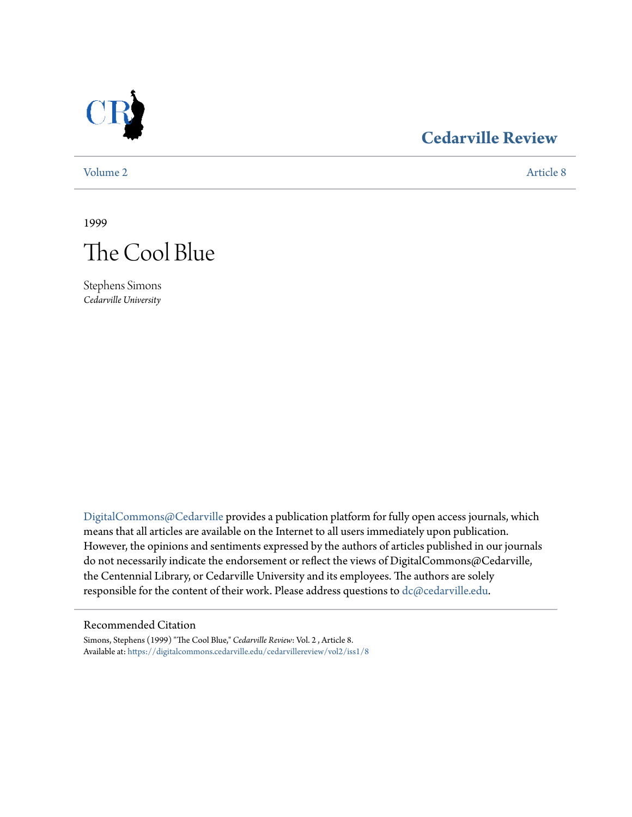

## **[Cedarville Review](https://digitalcommons.cedarville.edu/cedarvillereview?utm_source=digitalcommons.cedarville.edu%2Fcedarvillereview%2Fvol2%2Fiss1%2F8&utm_medium=PDF&utm_campaign=PDFCoverPages)**

[Volume 2](https://digitalcommons.cedarville.edu/cedarvillereview/vol2?utm_source=digitalcommons.cedarville.edu%2Fcedarvillereview%2Fvol2%2Fiss1%2F8&utm_medium=PDF&utm_campaign=PDFCoverPages) [Article 8](https://digitalcommons.cedarville.edu/cedarvillereview/vol2/iss1/8?utm_source=digitalcommons.cedarville.edu%2Fcedarvillereview%2Fvol2%2Fiss1%2F8&utm_medium=PDF&utm_campaign=PDFCoverPages)

1999



Stephens Simons *Cedarville University*

[DigitalCommons@Cedarville](http://digitalcommons.cedarville.edu) provides a publication platform for fully open access journals, which means that all articles are available on the Internet to all users immediately upon publication. However, the opinions and sentiments expressed by the authors of articles published in our journals do not necessarily indicate the endorsement or reflect the views of DigitalCommons@Cedarville, the Centennial Library, or Cedarville University and its employees. The authors are solely responsible for the content of their work. Please address questions to [dc@cedarville.edu](mailto:dc@cedarville.edu).

## Recommended Citation

Simons, Stephens (1999) "The Cool Blue," *Cedarville Review*: Vol. 2 , Article 8. Available at: [https://digitalcommons.cedarville.edu/cedarvillereview/vol2/iss1/8](https://digitalcommons.cedarville.edu/cedarvillereview/vol2/iss1/8?utm_source=digitalcommons.cedarville.edu%2Fcedarvillereview%2Fvol2%2Fiss1%2F8&utm_medium=PDF&utm_campaign=PDFCoverPages)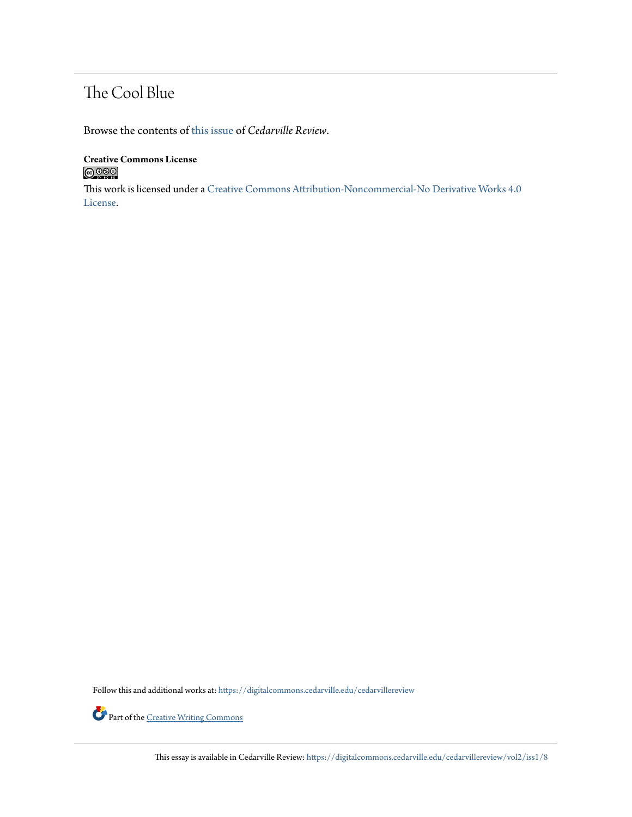## The Cool Blue

Browse the contents of [this issue](https://digitalcommons.cedarville.edu/cedarvillereview/vol2/iss1) of *Cedarville Review*.

**Creative Commons License**  $\bigcirc$  000

This work is licensed under a [Creative Commons Attribution-Noncommercial-No Derivative Works 4.0](http://creativecommons.org/licenses/by-nc-nd/4.0/) [License.](http://creativecommons.org/licenses/by-nc-nd/4.0/)

Follow this and additional works at: [https://digitalcommons.cedarville.edu/cedarvillereview](https://digitalcommons.cedarville.edu/cedarvillereview?utm_source=digitalcommons.cedarville.edu%2Fcedarvillereview%2Fvol2%2Fiss1%2F8&utm_medium=PDF&utm_campaign=PDFCoverPages)



Part of the <u>[Creative Writing Commons](http://network.bepress.com/hgg/discipline/574?utm_source=digitalcommons.cedarville.edu%2Fcedarvillereview%2Fvol2%2Fiss1%2F8&utm_medium=PDF&utm_campaign=PDFCoverPages)</u>

This essay is available in Cedarville Review: [https://digitalcommons.cedarville.edu/cedarvillereview/vol2/iss1/8](https://digitalcommons.cedarville.edu/cedarvillereview/vol2/iss1/8?utm_source=digitalcommons.cedarville.edu%2Fcedarvillereview%2Fvol2%2Fiss1%2F8&utm_medium=PDF&utm_campaign=PDFCoverPages)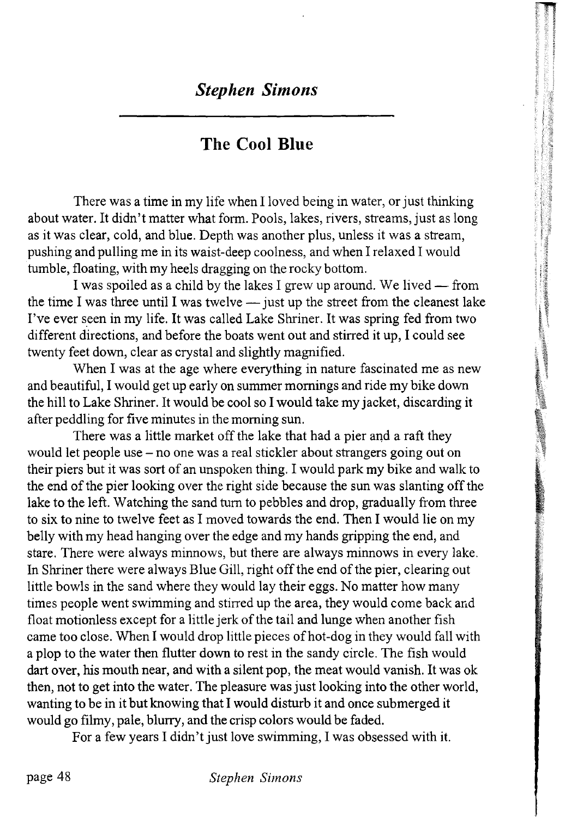## The Cool Blue

There was a time in my life when I loved being in water, or just thinking about water. It didn't matter what form. Pools, lakes, rivers, streams, just as long as it was clear, cold, and blue. Depth was another plus, unless it was a stream, pushing and pulling me in its waist-deep coolness, and when I relaxed I would tumble, floating, with my heels dragging on the rocky bottom.

I was spoiled as a child by the lakes I grew up around. We lived — from the time I was three until I was twelve — just up the street from the cleanest lake I've ever seen in my life. It was called Lake Shriner. It was spring fed from two different directions, and before the boats went out and stirred it up, I could see twenty feet down, clear as crystal and slightly magnified.

When I was at the age where everything in nature fascinated me as new and beautiful, I would get up early on summer mornings and ride my bike down the hill to Lake Shriner. It would be cool so I would take my jacket, discarding it after peddling for five minutes in the morning sun.

There was a little market off the lake that had a pier and a raft they would let people use - no one was a real stickler about strangers going out on their piers but it was sort of an unspoken thing. I would park my bike and walk to the end of the pier looking over the right side because the sun was slanting off the lake to the left. Watching the sand turn to pebbles and drop, gradually from three to six to nine to twelve feet as I moved towards the end. Then I would lie on my belly with my head hanging over the edge and my hands gripping the end, and stare. There were always minnows, but there are always minnows in every lake. In Shriner there were always Blue Gill, right off the end of the pier, clearing out little bowls in the sand where they would lay their eggs. No matter how many times people went swimming and stirred up the area, they would come back and float motionless except for a little jerk of the tail and lunge when another fish came too close. When I would drop little pieces of hot-dog in they would fall with a plop to the water then flutter down to rest in the sandy circle. The fish would dart over, his mouth near, and with a silent pop, the meat would vanish. It was ok then, not to get into the water. The pleasure was just looking into the other world, wanting to be in it but knowing that I would disturb it and once submerged it would go filmy, pale, blurry, and the crisp colors would be faded.

For a few years I didn't just love swimming, I was obsessed with it.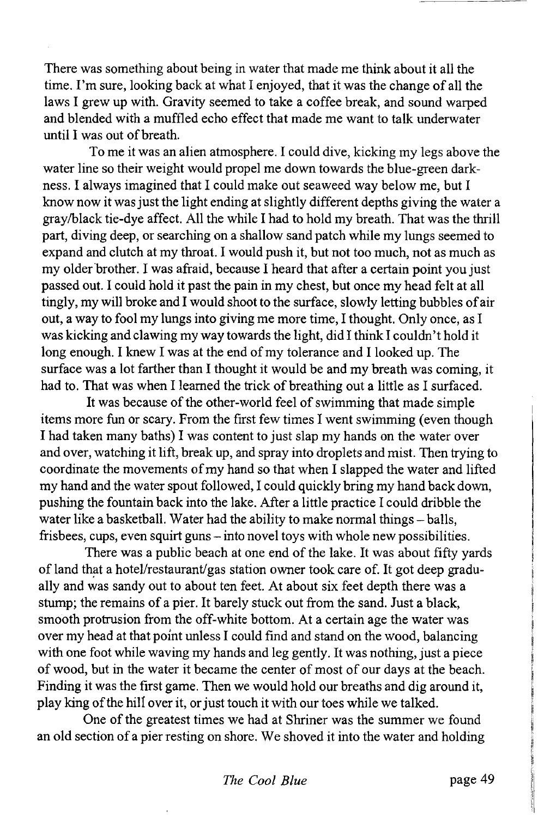There was something about being in water that made me think about it all the time. I'm sure, looking back at what I enjoyed, that it was the change of all the laws I grew up with. Gravity seemed to take a coffee break, and sound warped and blended with a muffled echo effect that made me want to talk underwater until I was out of breath.

To me it was an alien atmosphere. I could dive, kicking my legs above the water line so their weight would propel me down towards the blue-green darkness. I always imagined that I could make out seaweed way below me, but I know now it was just the light ending at slightly different depths giving the water a gray/black tie-dye affect. All the while I had to hold my breath. That was the thrill part, diving deep, or searching on a shallow sand patch while my lungs seemed to expand and clutch at my throat. I would push it, but not too much, not as much as my older brother. I was afraid, because I heard that after a certain point you just passed out. I could hold it past the pain in my chest, but once my head felt at all tingly, my will broke and I would shoot to the surface, slowly letting bubbles of air out, a way to fool my lungs into giving me more time, I thought. Only once, as I was kicking and clawing my way towards the light, did I think I couldn't hold it long enough. I knew I was at the end of my tolerance and I looked up. The surface was a lot farther than I thought it would be and my breath was coming, it had to. That was when I learned the trick of breathing out a little as I surfaced.

It was because of the other-world feel of swimming that made simple items more fun or scary. From the first few times I went swimming (even though I had taken many baths) I was content to just slap my hands on the water over and over, watching it lift, break up, and spray into droplets and mist. Then trying to coordinate the movements of my hand so that when I slapped the water and lifted my hand and the water spout followed, I could quickly bring my hand back down, pushing the fountain back into the lake. After a little practice I could dribble the water like a basketball. Water had the ability to make normal things - balls, frisbees, cups, even squirt guns - into novel toys with whole new possibilities.

There was a public beach at one end of the lake. It was about fifty yards of land that a hotel/restaurant/gas station owner took care of. It got deep gradually and was sandy out to about ten feet. At about six feet depth there was a stump; the remains of a pier. It barely stuck out from the sand. Just a black, smooth protrusion from the off-white bottom. At a certain age the water was over my head at that point unless I could find and stand on the wood, balancing with one foot while waving my hands and leg gently. It was nothing, just a piece of wood, but in the water it became the center of most of our days at the beach. Finding it was the first game. Then we would hold our breaths and dig around it, play king of the hill over it, or just touch it with our toes while we talked.

One of the greatest times we had at Shriner was the summer we found an old section of a pier resting on shore. We shoved it into the water and holding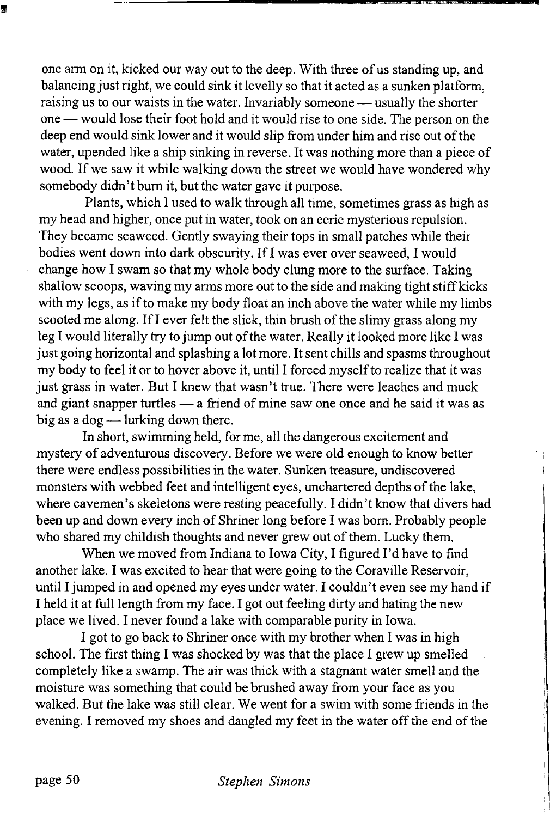one arm on it, kicked our way out to the deep. With three of us standing up, and balancing just right, we could sink it levelly so that it acted as a sunken platform, raising us to our waists in the water. Invariably someone — usually the shorter one — would lose their foot hold and it would rise to one side. The person on the deep end would sink lower and it would slip from under him and rise out of the water, upended like a ship sinking in reverse. It was nothing more than a piece of wood. If we saw it while walking down the street we would have wondered why somebody didn't bum it, but the water gave it purpose.

Plants, which I used to walk through all time, sometimes grass as high as my head and higher, once put in water, took on an eerie mysterious repulsion. They became seaweed. Gently swaying their tops in small patches while their bodies went down into dark obscurity. If I was ever over seaweed, I would change how I swam so that my whole body clung more to the surface. Taking shallow scoops, waving my arms more out to the side and making tight stiff kicks with my legs, as if to make my body float an inch above the water while my limbs scooted me along. If I ever felt the slick, thin brush of the slimy grass along my leg I would literally try to jump out of the water. Really it looked more like I was just going horizontal and splashing a lot more. It sent chills and spasms throughout my body to feel it or to hover above it, until I forced myself to realize that it was just grass in water. But I knew that wasn't true. There were leaches and muck and giant snapper turtles — a friend of mine saw one once and he said it was as big as a dog — lurking down there.

In short, swimming held, for me, all the dangerous excitement and mystery of adventurous discovery. Before we were old enough to know better there were endless possibilities in the water. Sunken treasure, undiscovered monsters with webbed feet and intelligent eyes, unchartered depths of the lake, where cavemen's skeletons were resting peacefully. I didn't know that divers had been up and down every inch of Shriner long before I was bom. Probably people who shared my childish thoughts and never grew out of them. Lucky them.

When we moved from Indiana to Iowa City, I figured I'd have to find another lake. I was excited to hear that were going to the Coraville Reservoir, until I jumped in and opened my eyes under water. I couldn't even see my hand if I held it at full length from my face. I got out feeling dirty and hating the new place we lived. I never found a lake with comparable purity in Iowa.

I got to go back to Shriner once with my brother when I was in high school. The first thing I was shocked by was that the place I grew up smelled completely like a swamp. The air was thick with a stagnant water smell and the moisture was something that could be brushed away from your face as you walked. But the lake was still clear. We went for a swim with some friends in the evening. I removed my shoes and dangled my feet in the water off the end of the